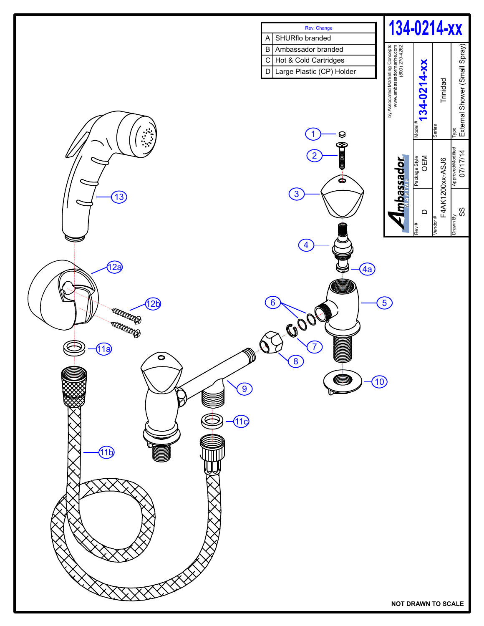